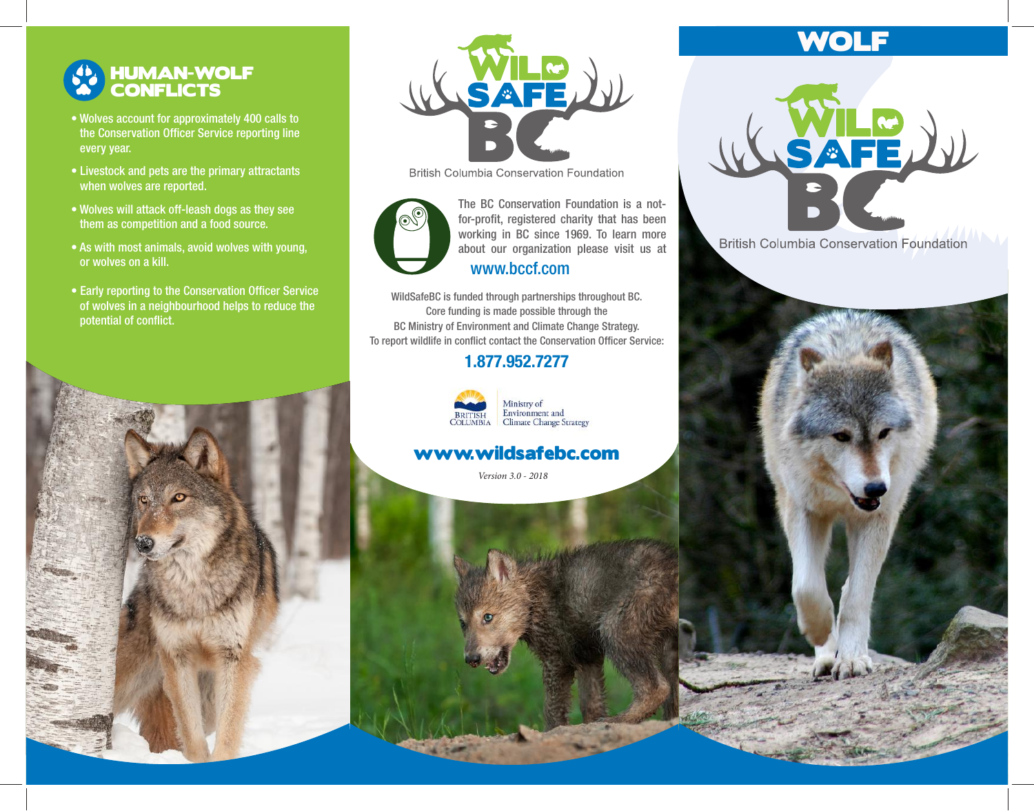## HUMAN-WOLF **CONFLICTS**

- Wolves account for approximately 400 calls to the Conservation Officer Service reporting line every year.
- Livestock and pets are the primary attractants when wolves are reported.
- Wolves will attack off-leash dogs as they see them as competition and a food source.
- As with most animals, avoid wolves with young, or wolves on a kill.
- Early reporting to the Conservation Officer Service of wolves in a neighbourhood helps to reduce the potential of conflict.



**British Columbia Conservation Foundation** 



working in BC since 1969. To learn more about our organization please visit us at The BC Conservation Foundation is a notfor-profit, registered charity that has been www.bccf.com

WildSafeBC is funded through partnerships throughout BC. Core funding is made possible through the BC Ministry of Environment and Climate Change Strategy. To report wildlife in conflict contact the Conservation Officer Service:

### 1.877.952.7277



Ministry of<br>Environment and<br>Climate Change Strategy

## www.wildsafebc.com

*Version 3.0 - 2018*

# WOLF